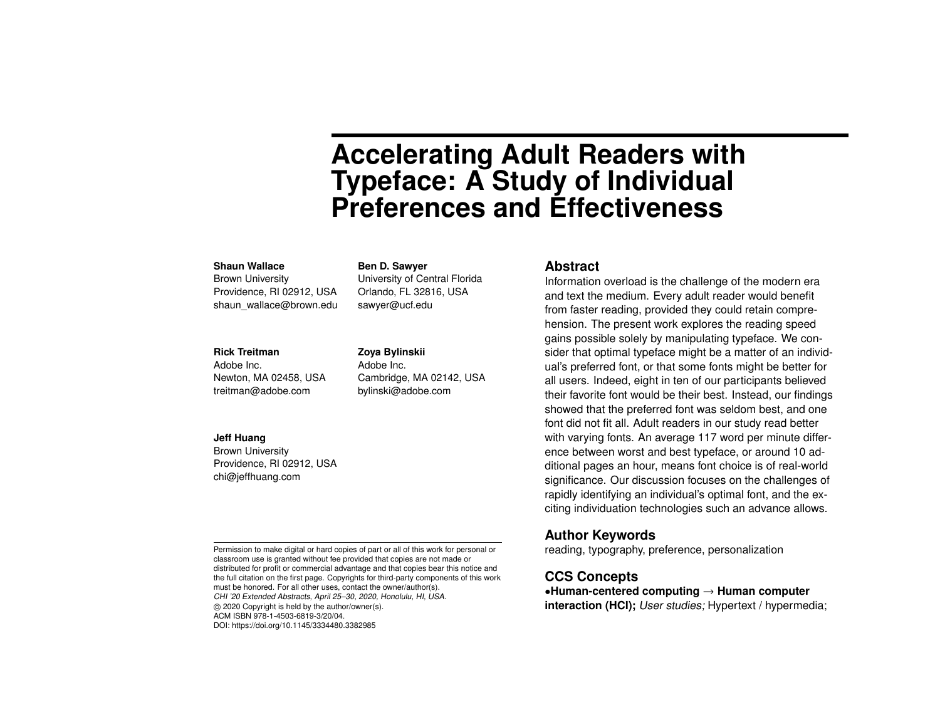# **Accelerating Adult Readers with Typeface: A Study of Individual Preferences and Effectiveness**

#### **Shaun Wallace**

Brown University Providence, RI 02912, USA shaun\_wallace@brown.edu

#### **Rick Treitman**

Adobe Inc. Newton, MA 02458, USA treitman@adobe.com

#### **Jeff Huang**

Brown University Providence, RI 02912, USA chi@jeffhuang.com

Permission to make digital or hard copies of part or all of this work for personal or classroom use is granted without fee provided that copies are not made or distributed for profit or commercial advantage and that copies bear this notice and the full citation on the first page. Copyrights for third-party components of this work must be honored. For all other uses, contact the owner/author(s). CHI '20 Extended Abstracts, April 25–30, 2020, Honolulu, HI, USA. © 2020 Copyright is held by the author/owner(s). ACM ISBN 978-1-4503-6819-3/20/04. DOI: https://doi.org/10.1145/3334480.3382985

University of Central Florida Orlando, FL 32816, USA sawyer@ucf.edu

# **Zoya Bylinskii**

**Ben D. Sawyer**

Adobe Inc. Cambridge, MA 02142, USA bylinski@adobe.com

#### **Abstract**

Information overload is the challenge of the modern era and text the medium. Every adult reader would benefit from faster reading, provided they could retain comprehension. The present work explores the reading speed gains possible solely by manipulating typeface. We consider that optimal typeface might be a matter of an individual's preferred font, or that some fonts might be better for all users. Indeed, eight in ten of our participants believed their favorite font would be their best. Instead, our findings showed that the preferred font was seldom best, and one font did not fit all. Adult readers in our study read better with varying fonts. An average 117 word per minute difference between worst and best typeface, or around 10 additional pages an hour, means font choice is of real-world significance. Our discussion focuses on the challenges of rapidly identifying an individual's optimal font, and the exciting individuation technologies such an advance allows.

## **Author Keywords**

reading, typography, preference, personalization

# **CCS Concepts**

•**Human-centered computing** → **Human computer interaction (HCI);** User studies; Hypertext / hypermedia;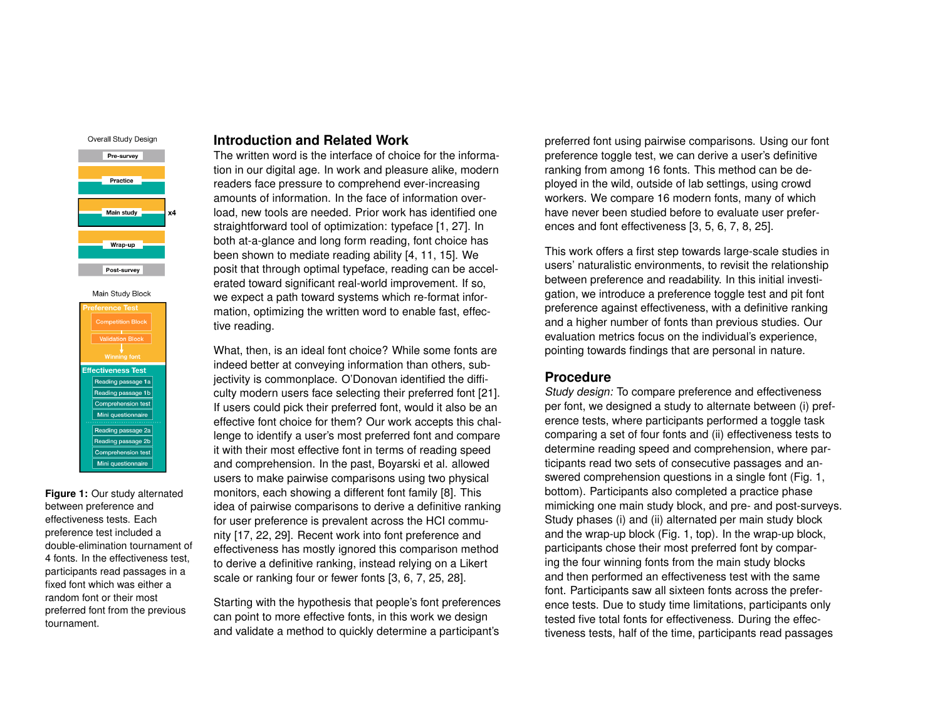



<span id="page-1-0"></span>**Figure 1:** Our study alternated between preference and effectiveness tests. Each preference test included a double-elimination tournament of 4 fonts. In the effectiveness test, participants read passages in a fixed font which was either a random font or their most preferred font from the previous tournament.

# **Introduction and Related Work**

The written word is the interface of choice for the information in our digital age. In work and pleasure alike, modern readers face pressure to comprehend ever-increasing amounts of information. In the face of information overload, new tools are needed. Prior work has identified one straightforward tool of optimization: typeface [\[1,](#page-6-0) [27\]](#page-7-0). In both at-a-glance and long form reading, font choice has been shown to mediate reading ability [\[4,](#page-6-1) [11,](#page-6-2) [15\]](#page-7-1). We posit that through optimal typeface, reading can be accelerated toward significant real-world improvement. If so, we expect a path toward systems which re-format information, optimizing the written word to enable fast, effective reading.

What, then, is an ideal font choice? While some fonts are indeed better at conveying information than others, subjectivity is commonplace. O'Donovan identified the difficulty modern users face selecting their preferred font [\[21\]](#page-7-2). If users could pick their preferred font, would it also be an effective font choice for them? Our work accepts this challenge to identify a user's most preferred font and compare it with their most effective font in terms of reading speed and comprehension. In the past, Boyarski et al. allowed users to make pairwise comparisons using two physical monitors, each showing a different font family [\[8\]](#page-6-3). This idea of pairwise comparisons to derive a definitive ranking for user preference is prevalent across the HCI community [\[17,](#page-7-3) [22,](#page-7-4) [29\]](#page-8-0). Recent work into font preference and effectiveness has mostly ignored this comparison method to derive a definitive ranking, instead relying on a Likert scale or ranking four or fewer fonts [\[3,](#page-6-4) [6,](#page-6-5) [7,](#page-6-6) [25,](#page-7-5) [28\]](#page-7-6).

Starting with the hypothesis that people's font preferences can point to more effective fonts, in this work we design and validate a method to quickly determine a participant's preferred font using pairwise comparisons. Using our font preference toggle test, we can derive a user's definitive ranking from among 16 fonts. This method can be deployed in the wild, outside of lab settings, using crowd workers. We compare 16 modern fonts, many of which have never been studied before to evaluate user preferences and font effectiveness [\[3,](#page-6-4) [5,](#page-6-7) [6,](#page-6-5) [7,](#page-6-6) [8,](#page-6-3) [25\]](#page-7-5).

This work offers a first step towards large-scale studies in users' naturalistic environments, to revisit the relationship between preference and readability. In this initial investigation, we introduce a preference toggle test and pit font preference against effectiveness, with a definitive ranking and a higher number of fonts than previous studies. Our evaluation metrics focus on the individual's experience, pointing towards findings that are personal in nature.

#### **Procedure**

Study design: To compare preference and effectiveness per font, we designed a study to alternate between (i) preference tests, where participants performed a toggle task comparing a set of four fonts and (ii) effectiveness tests to determine reading speed and comprehension, where participants read two sets of consecutive passages and answered comprehension questions in a single font (Fig. [1,](#page-1-0) bottom). Participants also completed a practice phase mimicking one main study block, and pre- and post-surveys. Study phases (i) and (ii) alternated per main study block and the wrap-up block (Fig. [1,](#page-1-0) top). In the wrap-up block, participants chose their most preferred font by comparing the four winning fonts from the main study blocks and then performed an effectiveness test with the same font. Participants saw all sixteen fonts across the preference tests. Due to study time limitations, participants only tested five total fonts for effectiveness. During the effectiveness tests, half of the time, participants read passages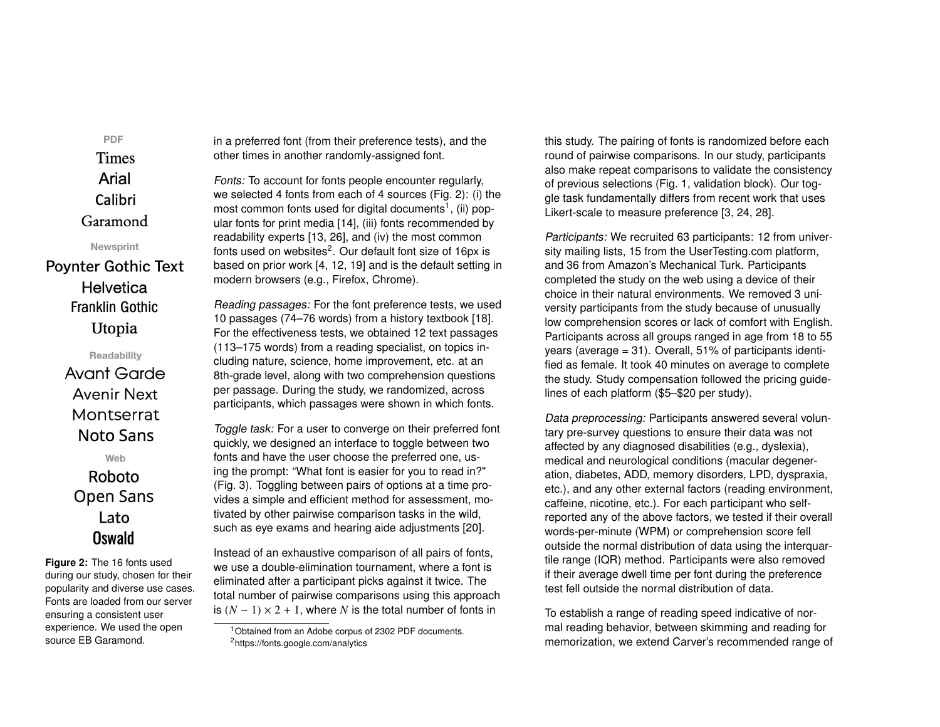**Times** Arial Calibri Garamond Newsprint **Poynter Gothic Text** 

PDF

**Helvetica Franklin Gothic** Utopia

> Readability **Avant Garde Avenir Next** Montserrat Noto Sans

Web Roboto **Open Sans** Lato Oswald

<span id="page-2-0"></span>**Figure 2:** The 16 fonts used during our study, chosen for their popularity and diverse use cases. Fonts are loaded from our server ensuring a consistent user experience. We used the open source EB Garamond.

in a preferred font (from their preference tests), and the other times in another randomly-assigned font.

Fonts: To account for fonts people encounter regularly, we selected 4 fonts from each of 4 sources (Fig. [2\)](#page-2-0): (i) the most common fonts used for digital documents<sup>[1](#page-2-1)</sup>, (ii) popular fonts for print media [\[14\]](#page-6-8), (iii) fonts recommended by readability experts [\[13,](#page-6-9) [26\]](#page-7-7), and (iv) the most common fonts used on websites $^2$  $^2$ . Our default font size of 16px is based on prior work [\[4,](#page-6-1) [12,](#page-6-10) [19\]](#page-7-8) and is the default setting in modern browsers (e.g., Firefox, Chrome).

Reading passages: For the font preference tests, we used 10 passages (74–76 words) from a history textbook [\[18\]](#page-7-9). For the effectiveness tests, we obtained 12 text passages (113–175 words) from a reading specialist, on topics including nature, science, home improvement, etc. at an 8th-grade level, along with two comprehension questions per passage. During the study, we randomized, across participants, which passages were shown in which fonts.

Toggle task: For a user to converge on their preferred font quickly, we designed an interface to toggle between two fonts and have the user choose the preferred one, using the prompt: "What font is easier for you to read in?" (Fig. [3\)](#page-3-0). Toggling between pairs of options at a time provides a simple and efficient method for assessment, motivated by other pairwise comparison tasks in the wild, such as eye exams and hearing aide adjustments [\[20\]](#page-7-10).

Instead of an exhaustive comparison of all pairs of fonts, we use a double-elimination tournament, where a font is eliminated after a participant picks against it twice. The total number of pairwise comparisons using this approach is  $(N - 1) \times 2 + 1$ , where *N* is the total number of fonts in

this study. The pairing of fonts is randomized before each round of pairwise comparisons. In our study, participants also make repeat comparisons to validate the consistency of previous selections (Fig. [1,](#page-1-0) validation block). Our toggle task fundamentally differs from recent work that uses Likert-scale to measure preference [\[3,](#page-6-4) [24,](#page-7-11) [28\]](#page-7-6).

Participants: We recruited 63 participants: 12 from university mailing lists, 15 from the UserTesting.com platform, and 36 from Amazon's Mechanical Turk. Participants completed the study on the web using a device of their choice in their natural environments. We removed 3 university participants from the study because of unusually low comprehension scores or lack of comfort with English. Participants across all groups ranged in age from 18 to 55 years (average = 31). Overall, 51% of participants identified as female. It took 40 minutes on average to complete the study. Study compensation followed the pricing guidelines of each platform (\$5–\$20 per study).

Data preprocessing: Participants answered several voluntary pre-survey questions to ensure their data was not affected by any diagnosed disabilities (e.g., dyslexia), medical and neurological conditions (macular degeneration, diabetes, ADD, memory disorders, LPD, dyspraxia, etc.), and any other external factors (reading environment, caffeine, nicotine, etc.). For each participant who selfreported any of the above factors, we tested if their overall words-per-minute (WPM) or comprehension score fell outside the normal distribution of data using the interquartile range (IQR) method. Participants were also removed if their average dwell time per font during the preference test fell outside the normal distribution of data.

To establish a range of reading speed indicative of normal reading behavior, between skimming and reading for memorization, we extend Carver's recommended range of

<span id="page-2-2"></span><span id="page-2-1"></span><sup>&</sup>lt;sup>1</sup> Obtained from an Adobe corpus of 2302 PDF documents. <sup>2</sup>https://fonts.google.com/analytics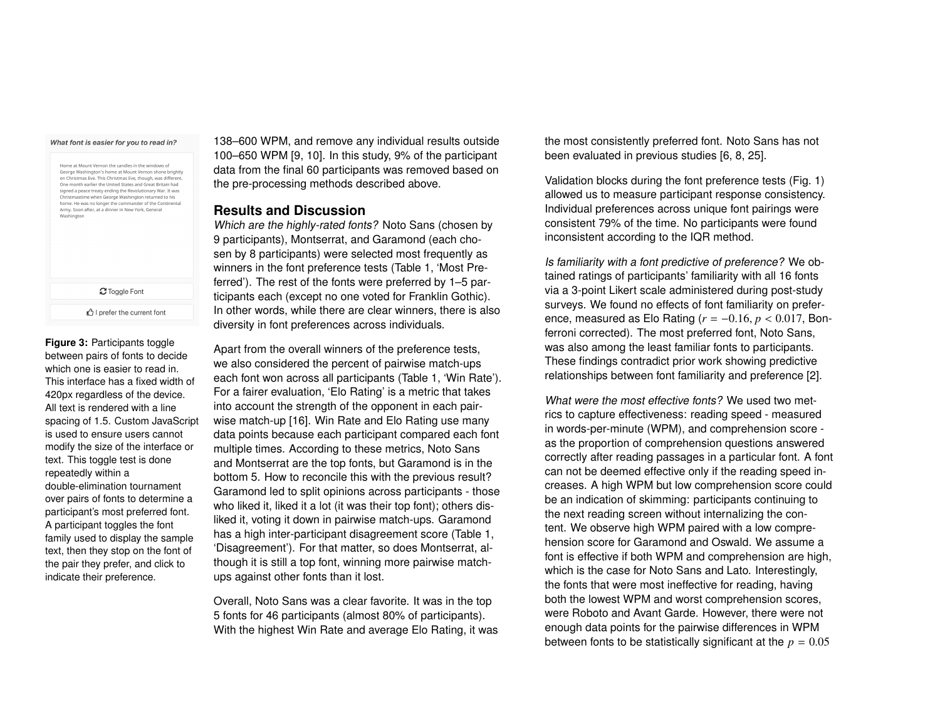#### What font is easier for you to read in?

| Home at Mount Vernon the candles in the windows of<br>George Washington's home at Mount Vernon shone brightly<br>on Christmas Eve. This Christmas Eve, though, was different.<br>One month earlier the United States and Great Britain had<br>signed a peace treaty ending the Revolutionary War. It was<br>Christmastime when George Washington returned to his<br>home. He was no longer the commander of the Continental<br>Army, Soon after, at a dinner in New York, General<br>Washington |
|-------------------------------------------------------------------------------------------------------------------------------------------------------------------------------------------------------------------------------------------------------------------------------------------------------------------------------------------------------------------------------------------------------------------------------------------------------------------------------------------------|
| C Toggle Font                                                                                                                                                                                                                                                                                                                                                                                                                                                                                   |
| ■ I prefer the current font                                                                                                                                                                                                                                                                                                                                                                                                                                                                     |

<span id="page-3-0"></span>**Figure 3:** Participants toggle between pairs of fonts to decide which one is easier to read in. This interface has a fixed width of 420px regardless of the device. All text is rendered with a line spacing of 1.5. Custom JavaScript is used to ensure users cannot modify the size of the interface or text. This toggle test is done repeatedly within a double-elimination tournament over pairs of fonts to determine a participant's most preferred font. A participant toggles the font family used to display the sample text, then they stop on the font of the pair they prefer, and click to indicate their preference.

138–600 WPM, and remove any individual results outside 100–650 WPM [\[9,](#page-6-11) [10\]](#page-6-12). In this study, 9% of the participant data from the final 60 participants was removed based on the pre-processing methods described above.

### **Results and Discussion**

Which are the highly-rated fonts? Noto Sans (chosen by 9 participants), Montserrat, and Garamond (each chosen by 8 participants) were selected most frequently as winners in the font preference tests (Table [1,](#page-4-0) 'Most Preferred'). The rest of the fonts were preferred by 1–5 participants each (except no one voted for Franklin Gothic). In other words, while there are clear winners, there is also diversity in font preferences across individuals.

Apart from the overall winners of the preference tests, we also considered the percent of pairwise match-ups each font won across all participants (Table [1,](#page-4-0) 'Win Rate'). For a fairer evaluation, 'Elo Rating' is a metric that takes into account the strength of the opponent in each pairwise match-up [\[16\]](#page-7-12). Win Rate and Elo Rating use many data points because each participant compared each font multiple times. According to these metrics, Noto Sans and Montserrat are the top fonts, but Garamond is in the bottom 5. How to reconcile this with the previous result? Garamond led to split opinions across participants - those who liked it, liked it a lot (it was their top font); others disliked it, voting it down in pairwise match-ups. Garamond has a high inter-participant disagreement score (Table [1,](#page-4-0) 'Disagreement'). For that matter, so does Montserrat, although it is still a top font, winning more pairwise matchups against other fonts than it lost.

Overall, Noto Sans was a clear favorite. It was in the top 5 fonts for 46 participants (almost 80% of participants). With the highest Win Rate and average Elo Rating, it was the most consistently preferred font. Noto Sans has not been evaluated in previous studies [\[6,](#page-6-5) [8,](#page-6-3) [25\]](#page-7-5).

Validation blocks during the font preference tests (Fig. [1\)](#page-1-0) allowed us to measure participant response consistency. Individual preferences across unique font pairings were consistent 79% of the time. No participants were found inconsistent according to the IQR method.

Is familiarity with a font predictive of preference? We obtained ratings of participants' familiarity with all 16 fonts via a 3-point Likert scale administered during post-study surveys. We found no effects of font familiarity on preference, measured as Elo Rating (*<sup>r</sup>* <sup>=</sup> <sup>−</sup>0.16, *<sup>p</sup>* < <sup>0</sup>.017, Bonferroni corrected). The most preferred font, Noto Sans, was also among the least familiar fonts to participants. These findings contradict prior work showing predictive relationships between font familiarity and preference [\[2\]](#page-6-13).

What were the most effective fonts? We used two metrics to capture effectiveness: reading speed - measured in words-per-minute (WPM), and comprehension score as the proportion of comprehension questions answered correctly after reading passages in a particular font. A font can not be deemed effective only if the reading speed increases. A high WPM but low comprehension score could be an indication of skimming: participants continuing to the next reading screen without internalizing the content. We observe high WPM paired with a low comprehension score for Garamond and Oswald. We assume a font is effective if both WPM and comprehension are high, which is the case for Noto Sans and Lato. Interestingly, the fonts that were most ineffective for reading, having both the lowest WPM and worst comprehension scores, were Roboto and Avant Garde. However, there were not enough data points for the pairwise differences in WPM between fonts to be statistically significant at the  $p = 0.05$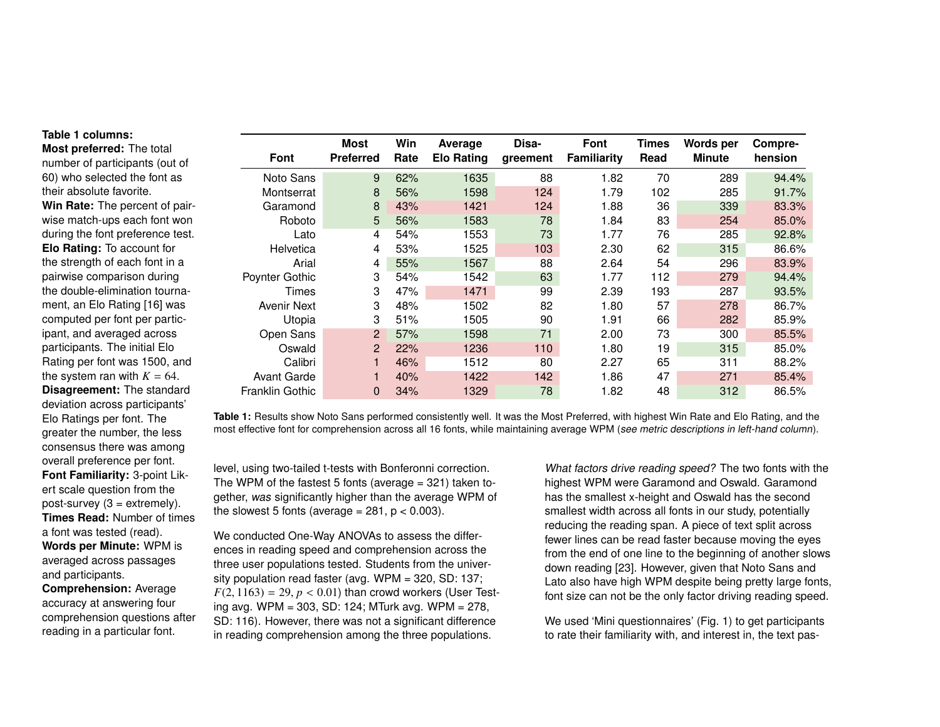#### **Table [1](#page-4-0) columns:**

**Most preferred:** The total number of participants (out of 60) who selected the font as their absolute favorite. **Win Rate:** The percent of pairwise match-ups each font won during the font preference test. **Elo Rating:** To account for the strength of each font in a pairwise comparison during the double-elimination tournament, an Elo Rating [\[16\]](#page-7-12) was computed per font per participant, and averaged across participants. The initial Elo Rating per font was 1500, and the system ran with  $K = 64$ . **Disagreement:** The standard deviation across participants' Elo Ratings per font. The greater the number, the less consensus there was among overall preference per font. **Font Familiarity:** 3-point Likert scale question from the post-survey  $(3 =$  extremely). **Times Read:** Number of times a font was tested (read). **Words per Minute:** WPM is averaged across passages and participants. **Comprehension:** Average

accuracy at answering four comprehension questions after reading in a particular font.

<span id="page-4-0"></span>

| <b>Font</b>            | Most<br><b>Preferred</b> | Win<br>Rate | Average<br><b>Elo Rating</b> | Disa-<br>greement | Font<br><b>Familiarity</b> | Times<br>Read | Words per<br><b>Minute</b> | Compre-<br>hension |
|------------------------|--------------------------|-------------|------------------------------|-------------------|----------------------------|---------------|----------------------------|--------------------|
| Noto Sans              | 9                        | 62%         | 1635                         | 88                | 1.82                       | 70            | 289                        | 94.4%              |
| Montserrat             | 8                        | 56%         | 1598                         | 124               | 1.79                       | 102           | 285                        | 91.7%              |
| Garamond               | 8                        | 43%         | 1421                         | 124               | 1.88                       | 36            | 339                        | 83.3%              |
| Roboto                 | 5                        | 56%         | 1583                         | 78                | 1.84                       | 83            | 254                        | 85.0%              |
| Lato                   | 4                        | 54%         | 1553                         | 73                | 1.77                       | 76            | 285                        | 92.8%              |
| Helvetica              | 4                        | 53%         | 1525                         | 103               | 2.30                       | 62            | 315                        | 86.6%              |
| Arial                  | 4                        | 55%         | 1567                         | 88                | 2.64                       | 54            | 296                        | 83.9%              |
| Poynter Gothic         | 3                        | 54%         | 1542                         | 63                | 1.77                       | 112           | 279                        | 94.4%              |
| Times                  | 3                        | 47%         | 1471                         | 99                | 2.39                       | 193           | 287                        | 93.5%              |
| Avenir Next            | 3                        | 48%         | 1502                         | 82                | 1.80                       | 57            | 278                        | 86.7%              |
| Utopia                 | 3                        | 51%         | 1505                         | 90                | 1.91                       | 66            | 282                        | 85.9%              |
| Open Sans              | $\overline{2}$           | 57%         | 1598                         | 71                | 2.00                       | 73            | 300                        | 85.5%              |
| Oswald                 | $\overline{2}$           | 22%         | 1236                         | 110               | 1.80                       | 19            | 315                        | 85.0%              |
| Calibri                |                          | 46%         | 1512                         | 80                | 2.27                       | 65            | 311                        | 88.2%              |
| <b>Avant Garde</b>     |                          | 40%         | 1422                         | 142               | 1.86                       | 47            | 271                        | 85.4%              |
| <b>Franklin Gothic</b> | 0                        | 34%         | 1329                         | 78                | 1.82                       | 48            | 312                        | 86.5%              |

**Table 1:** Results show Noto Sans performed consistently well. It was the Most Preferred, with highest Win Rate and Elo Rating, and the most effective font for comprehension across all 16 fonts, while maintaining average WPM (see metric descriptions in left-hand column).

level, using two-tailed t-tests with Bonferonni correction. The WPM of the fastest 5 fonts (average  $=$  321) taken together, was significantly higher than the average WPM of the slowest 5 fonts (average =  $281$ ,  $p < 0.003$ ).

We conducted One-Way ANOVAs to assess the differences in reading speed and comprehension across the three user populations tested. Students from the university population read faster (avg. WPM = 320, SD: 137;  $F(2, 1163) = 29, p < 0.01$ ) than crowd workers (User Testing avg. WPM = 303, SD: 124; MTurk avg. WPM = 278, SD: 116). However, there was not a significant difference in reading comprehension among the three populations.

What factors drive reading speed? The two fonts with the highest WPM were Garamond and Oswald. Garamond has the smallest x-height and Oswald has the second smallest width across all fonts in our study, potentially reducing the reading span. A piece of text split across fewer lines can be read faster because moving the eyes from the end of one line to the beginning of another slows down reading [\[23\]](#page-7-13). However, given that Noto Sans and Lato also have high WPM despite being pretty large fonts, font size can not be the only factor driving reading speed.

We used 'Mini questionnaires' (Fig. [1\)](#page-1-0) to get participants to rate their familiarity with, and interest in, the text pas-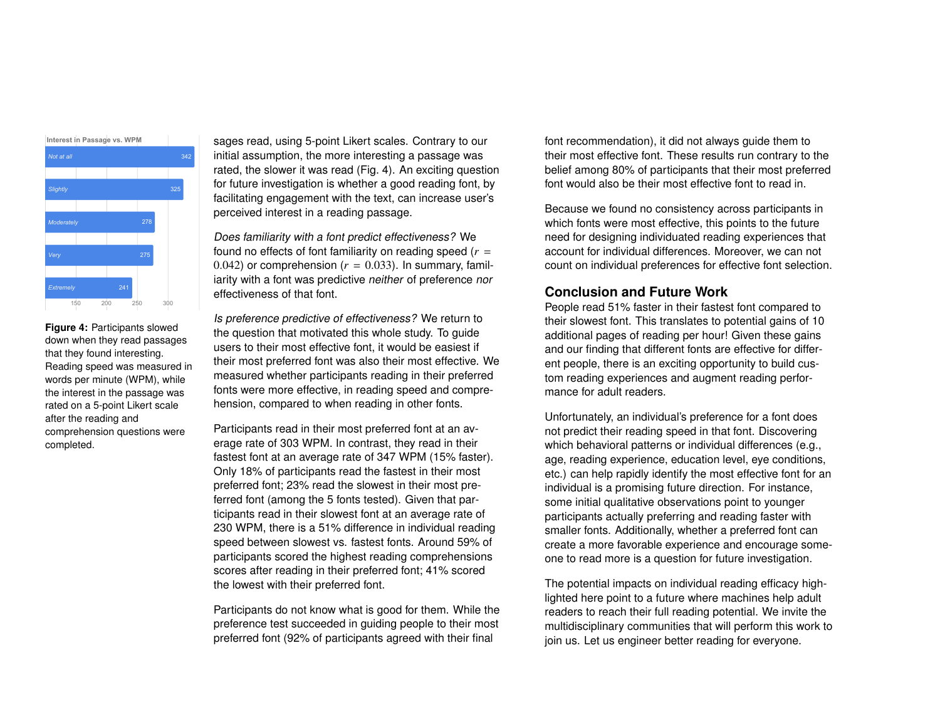

<span id="page-5-0"></span>**Figure 4:** Participants slowed down when they read passages that they found interesting. Reading speed was measured in words per minute (WPM), while the interest in the passage was rated on a 5-point Likert scale after the reading and comprehension questions were completed.

sages read, using 5-point Likert scales. Contrary to our initial assumption, the more interesting a passage was rated, the slower it was read (Fig. [4\)](#page-5-0). An exciting question for future investigation is whether a good reading font, by facilitating engagement with the text, can increase user's perceived interest in a reading passage.

Does familiarity with a font predict effectiveness? We found no effects of font familiarity on reading speed  $(r =$ 0.042) or comprehension  $(r = 0.033)$ . In summary, familiarity with a font was predictive neither of preference nor effectiveness of that font.

Is preference predictive of effectiveness? We return to the question that motivated this whole study. To guide users to their most effective font, it would be easiest if their most preferred font was also their most effective. We measured whether participants reading in their preferred fonts were more effective, in reading speed and comprehension, compared to when reading in other fonts.

Participants read in their most preferred font at an average rate of 303 WPM. In contrast, they read in their fastest font at an average rate of 347 WPM (15% faster). Only 18% of participants read the fastest in their most preferred font; 23% read the slowest in their most preferred font (among the 5 fonts tested). Given that participants read in their slowest font at an average rate of 230 WPM, there is a 51% difference in individual reading speed between slowest vs. fastest fonts. Around 59% of participants scored the highest reading comprehensions scores after reading in their preferred font; 41% scored the lowest with their preferred font.

Participants do not know what is good for them. While the preference test succeeded in guiding people to their most preferred font (92% of participants agreed with their final

font recommendation), it did not always guide them to their most effective font. These results run contrary to the belief among 80% of participants that their most preferred font would also be their most effective font to read in.

Because we found no consistency across participants in which fonts were most effective, this points to the future need for designing individuated reading experiences that account for individual differences. Moreover, we can not count on individual preferences for effective font selection.

# **Conclusion and Future Work**

People read 51% faster in their fastest font compared to their slowest font. This translates to potential gains of 10 additional pages of reading per hour! Given these gains and our finding that different fonts are effective for different people, there is an exciting opportunity to build custom reading experiences and augment reading performance for adult readers.

Unfortunately, an individual's preference for a font does not predict their reading speed in that font. Discovering which behavioral patterns or individual differences (e.g., age, reading experience, education level, eye conditions, etc.) can help rapidly identify the most effective font for an individual is a promising future direction. For instance, some initial qualitative observations point to younger participants actually preferring and reading faster with smaller fonts. Additionally, whether a preferred font can create a more favorable experience and encourage someone to read more is a question for future investigation.

The potential impacts on individual reading efficacy highlighted here point to a future where machines help adult readers to reach their full reading potential. We invite the multidisciplinary communities that will perform this work to join us. Let us engineer better reading for everyone.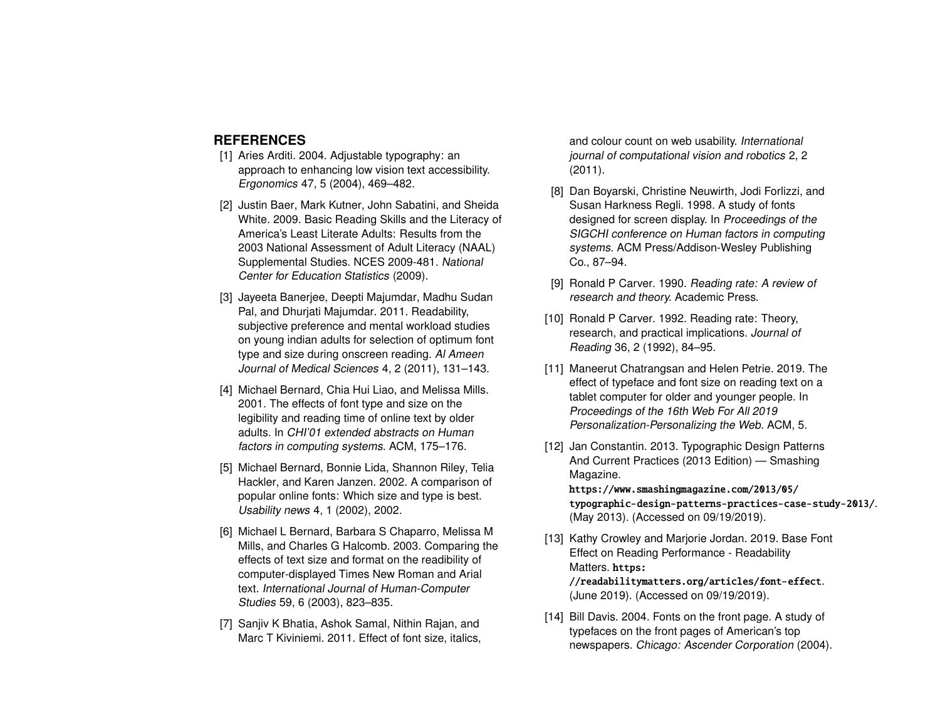# **REFERENCES**

- <span id="page-6-0"></span>[1] Aries Arditi. 2004. Adjustable typography: an approach to enhancing low vision text accessibility. Ergonomics 47, 5 (2004), 469–482.
- <span id="page-6-13"></span>[2] Justin Baer, Mark Kutner, John Sabatini, and Sheida White. 2009. Basic Reading Skills and the Literacy of America's Least Literate Adults: Results from the 2003 National Assessment of Adult Literacy (NAAL) Supplemental Studies. NCES 2009-481. National Center for Education Statistics (2009).
- <span id="page-6-4"></span>[3] Jayeeta Banerjee, Deepti Majumdar, Madhu Sudan Pal, and Dhurjati Majumdar. 2011. Readability, subjective preference and mental workload studies on young indian adults for selection of optimum font type and size during onscreen reading. Al Ameen Journal of Medical Sciences 4, 2 (2011), 131–143.
- <span id="page-6-1"></span>[4] Michael Bernard, Chia Hui Liao, and Melissa Mills. 2001. The effects of font type and size on the legibility and reading time of online text by older adults. In CHI'01 extended abstracts on Human factors in computing systems. ACM, 175–176.
- <span id="page-6-7"></span>[5] Michael Bernard, Bonnie Lida, Shannon Riley, Telia Hackler, and Karen Janzen. 2002. A comparison of popular online fonts: Which size and type is best. Usability news 4, 1 (2002), 2002.
- <span id="page-6-5"></span>[6] Michael L Bernard, Barbara S Chaparro, Melissa M Mills, and Charles G Halcomb. 2003. Comparing the effects of text size and format on the readibility of computer-displayed Times New Roman and Arial text. International Journal of Human-Computer Studies 59, 6 (2003), 823–835.
- <span id="page-6-6"></span>[7] Sanjiv K Bhatia, Ashok Samal, Nithin Rajan, and Marc T Kiviniemi. 2011. Effect of font size, italics,

and colour count on web usability. International journal of computational vision and robotics 2, 2 (2011).

- <span id="page-6-3"></span>[8] Dan Boyarski, Christine Neuwirth, Jodi Forlizzi, and Susan Harkness Regli. 1998. A study of fonts designed for screen display. In Proceedings of the SIGCHI conference on Human factors in computing systems. ACM Press/Addison-Wesley Publishing Co., 87–94.
- <span id="page-6-11"></span>[9] Ronald P Carver. 1990. Reading rate: A review of research and theory. Academic Press.
- <span id="page-6-12"></span>[10] Ronald P Carver. 1992. Reading rate: Theory, research, and practical implications. Journal of Reading 36, 2 (1992), 84–95.
- <span id="page-6-2"></span>[11] Maneerut Chatrangsan and Helen Petrie. 2019. The effect of typeface and font size on reading text on a tablet computer for older and younger people. In Proceedings of the 16th Web For All 2019 Personalization-Personalizing the Web. ACM, 5.
- <span id="page-6-10"></span>[12] Jan Constantin. 2013. Typographic Design Patterns And Current Practices (2013 Edition) — Smashing Magazine.

[https://www.smashingmagazine.com/2013/05/](https://www.smashingmagazine.com/2013/05/typographic-design-patterns-practices-case-study-2013/) [typographic-design-patterns-practices-case-study-2013/](https://www.smashingmagazine.com/2013/05/typographic-design-patterns-practices-case-study-2013/). (May 2013). (Accessed on 09/19/2019).

- <span id="page-6-9"></span>[13] Kathy Crowley and Marjorie Jordan. 2019. Base Font Effect on Reading Performance - Readability Matters. [https:](https://readabilitymatters.org/articles/font-effect) [//readabilitymatters.org/articles/font-effect](https://readabilitymatters.org/articles/font-effect). (June 2019). (Accessed on 09/19/2019).
- <span id="page-6-8"></span>[14] Bill Davis. 2004. Fonts on the front page. A study of typefaces on the front pages of American's top newspapers. Chicago: Ascender Corporation (2004).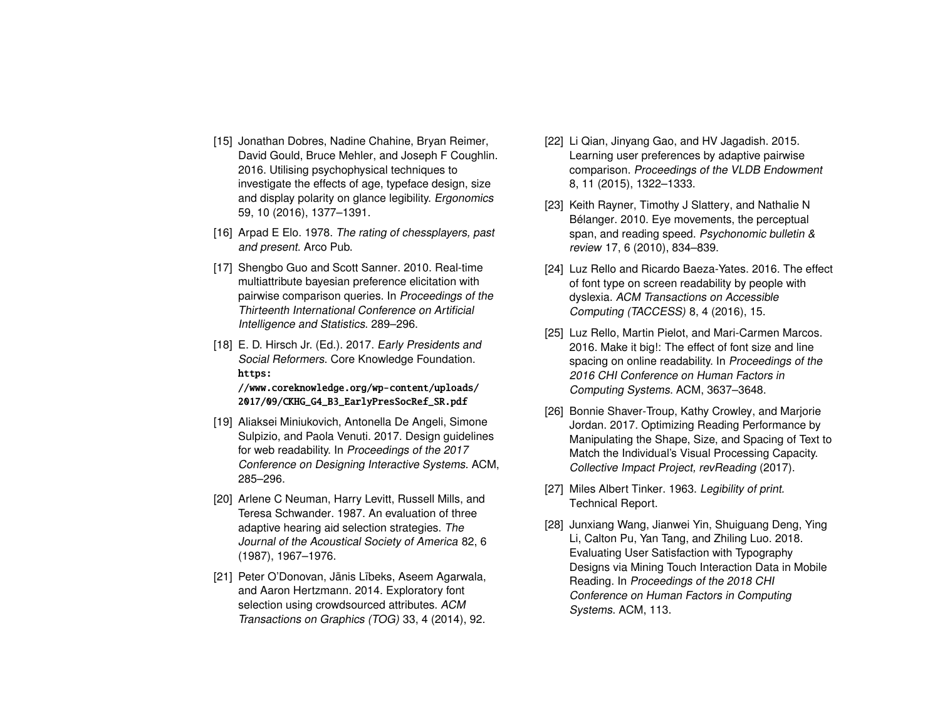- <span id="page-7-1"></span>[15] Jonathan Dobres, Nadine Chahine, Bryan Reimer, David Gould, Bruce Mehler, and Joseph F Coughlin. 2016. Utilising psychophysical techniques to investigate the effects of age, typeface design, size and display polarity on glance legibility. Ergonomics 59, 10 (2016), 1377–1391.
- <span id="page-7-12"></span>[16] Arpad E Elo. 1978. The rating of chessplayers, past and present. Arco Pub.
- <span id="page-7-3"></span>[17] Shengbo Guo and Scott Sanner. 2010. Real-time multiattribute bayesian preference elicitation with pairwise comparison queries. In Proceedings of the Thirteenth International Conference on Artificial Intelligence and Statistics. 289–296.
- <span id="page-7-9"></span>[18] E. D. Hirsch Jr. (Ed.). 2017. Early Presidents and Social Reformers. Core Knowledge Foundation. [https:](https://www.coreknowledge.org/wp-content/uploads/2017/09/CKHG_G4_B3_EarlyPresSocRef_SR.pdf)

[//www.coreknowledge.org/wp-content/uploads/](https://www.coreknowledge.org/wp-content/uploads/2017/09/CKHG_G4_B3_EarlyPresSocRef_SR.pdf) [2017/09/CKHG\\_G4\\_B3\\_EarlyPresSocRef\\_SR.pdf](https://www.coreknowledge.org/wp-content/uploads/2017/09/CKHG_G4_B3_EarlyPresSocRef_SR.pdf)

- <span id="page-7-8"></span>[19] Aliaksei Miniukovich, Antonella De Angeli, Simone Sulpizio, and Paola Venuti. 2017. Design guidelines for web readability. In Proceedings of the 2017 Conference on Designing Interactive Systems. ACM, 285–296.
- <span id="page-7-10"></span>[20] Arlene C Neuman, Harry Levitt, Russell Mills, and Teresa Schwander. 1987. An evaluation of three adaptive hearing aid selection strategies. The Journal of the Acoustical Society of America 82, 6 (1987), 1967–1976.
- <span id="page-7-2"></span>[21] Peter O'Donovan, Jānis Lībeks, Aseem Agarwala, and Aaron Hertzmann. 2014. Exploratory font selection using crowdsourced attributes. ACM Transactions on Graphics (TOG) 33, 4 (2014), 92.
- <span id="page-7-4"></span>[22] Li Qian, Jinyang Gao, and HV Jagadish. 2015. Learning user preferences by adaptive pairwise comparison. Proceedings of the VLDB Endowment 8, 11 (2015), 1322–1333.
- <span id="page-7-13"></span>[23] Keith Rayner, Timothy J Slattery, and Nathalie N Bélanger. 2010. Eye movements, the perceptual span, and reading speed. Psychonomic bulletin & review 17, 6 (2010), 834–839.
- <span id="page-7-11"></span>[24] Luz Rello and Ricardo Baeza-Yates. 2016. The effect of font type on screen readability by people with dyslexia. ACM Transactions on Accessible Computing (TACCESS) 8, 4 (2016), 15.
- <span id="page-7-5"></span>[25] Luz Rello, Martin Pielot, and Mari-Carmen Marcos. 2016. Make it big!: The effect of font size and line spacing on online readability. In Proceedings of the 2016 CHI Conference on Human Factors in Computing Systems. ACM, 3637–3648.
- <span id="page-7-7"></span>[26] Bonnie Shaver-Troup, Kathy Crowley, and Marjorie Jordan. 2017. Optimizing Reading Performance by Manipulating the Shape, Size, and Spacing of Text to Match the Individual's Visual Processing Capacity. Collective Impact Project, revReading (2017).
- <span id="page-7-0"></span>[27] Miles Albert Tinker. 1963. Legibility of print. Technical Report.
- <span id="page-7-6"></span>[28] Junxiang Wang, Jianwei Yin, Shuiguang Deng, Ying Li, Calton Pu, Yan Tang, and Zhiling Luo. 2018. Evaluating User Satisfaction with Typography Designs via Mining Touch Interaction Data in Mobile Reading. In Proceedings of the 2018 CHI Conference on Human Factors in Computing Systems. ACM, 113.